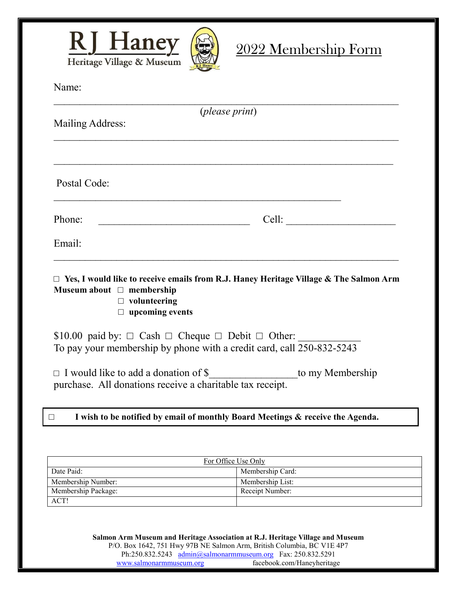

## 2022 Membership Form

| Name: |  |
|-------|--|
|       |  |

|                                                                                 | ( <i>please print</i> )                                                                      |
|---------------------------------------------------------------------------------|----------------------------------------------------------------------------------------------|
| Mailing Address:                                                                |                                                                                              |
|                                                                                 |                                                                                              |
| Postal Code:                                                                    |                                                                                              |
| Phone:                                                                          | Cell:                                                                                        |
| Email:                                                                          |                                                                                              |
| Museum about $\Box$ membership<br>$\Box$ volunteering<br>$\Box$ upcoming events | $\Box$ Yes, I would like to receive emails from R.J. Haney Heritage Village & The Salmon Arm |
| \$10.00 paid by: $\Box$ Cash $\Box$ Cheque $\Box$ Debit $\Box$ Other:           | To pay your membership by phone with a credit card, call 250-832-5243                        |
| purchase. All donations receive a charitable tax receipt.                       | □ I would like to add a donation of \$_______________________to my Membership                |
| $\Box$                                                                          | I wish to be notified by email of monthly Board Meetings & receive the Agenda.               |

| For Office Use Only |                  |  |
|---------------------|------------------|--|
| Date Paid:          | Membership Card: |  |
| Membership Number:  | Membership List: |  |
| Membership Package: | Receipt Number:  |  |
| ACT!                |                  |  |

**Salmon Arm Museum and Heritage Association at R.J. Heritage Village and Museum** P/O. Box 1642, 751 Hwy 97B NE Salmon Arm, British Columbia, BC V1E 4P7 Ph:250.832.5243 [admin@salmonarmmuseum.org](mailto:admin@salmonarmmuseum.org) Fax: 250.832.5291 [www.salmonarmmuseum.org](http://www.salmonarmmuseum.org/) facebook.com/Haneyheritage